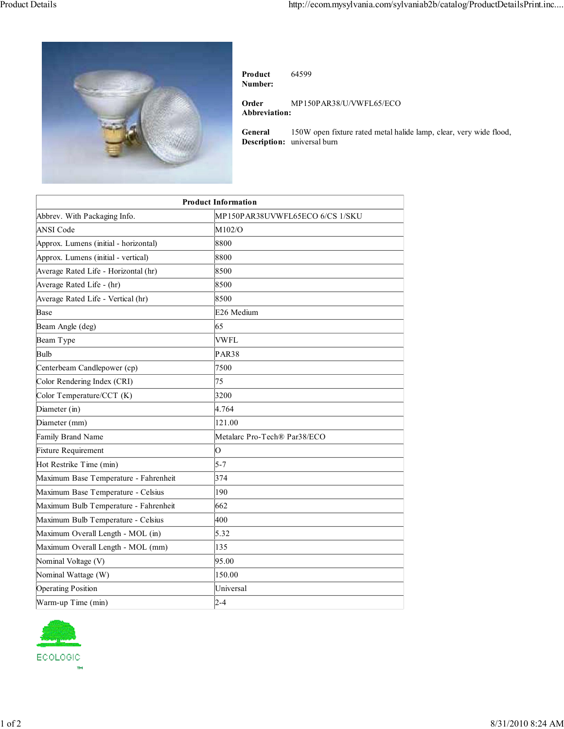

**Product Number:** 64599

**Order Abbreviation:** MP150PAR38/U/VWFL65/ECO

**General Description:** universal burn 150W open fixture rated metal halide lamp, clear, very wide flood,

| <b>Product Information</b>            |                                 |
|---------------------------------------|---------------------------------|
| Abbrev. With Packaging Info.          | MP150PAR38UVWFL65ECO 6/CS 1/SKU |
| <b>ANSI Code</b>                      | M102/O                          |
| Approx. Lumens (initial - horizontal) | 8800                            |
| Approx. Lumens (initial - vertical)   | 8800                            |
| Average Rated Life - Horizontal (hr)  | 8500                            |
| Average Rated Life - (hr)             | 8500                            |
| Average Rated Life - Vertical (hr)    | 8500                            |
| Base                                  | E26 Medium                      |
| Beam Angle (deg)                      | 65                              |
| Beam Type                             | <b>VWFL</b>                     |
| Bulb                                  | <b>PAR38</b>                    |
| Centerbeam Candlepower (cp)           | 7500                            |
| Color Rendering Index (CRI)           | 75                              |
| Color Temperature/CCT (K)             | 3200                            |
| Diameter (in)                         | 4.764                           |
| Diameter (mm)                         | 121.00                          |
| Family Brand Name                     | Metalarc Pro-Tech® Par38/ECO    |
| Fixture Requirement                   | O                               |
| Hot Restrike Time (min)               | $5 - 7$                         |
| Maximum Base Temperature - Fahrenheit | 374                             |
| Maximum Base Temperature - Celsius    | 190                             |
| Maximum Bulb Temperature - Fahrenheit | 662                             |
| Maximum Bulb Temperature - Celsius    | 400                             |
| Maximum Overall Length - MOL (in)     | 5.32                            |
| Maximum Overall Length - MOL (mm)     | 135                             |
| Nominal Voltage (V)                   | 95.00                           |
| Nominal Wattage (W)                   | 150.00                          |
| <b>Operating Position</b>             | Universal                       |
| Warm-up Time (min)                    | $2 - 4$                         |
|                                       |                                 |